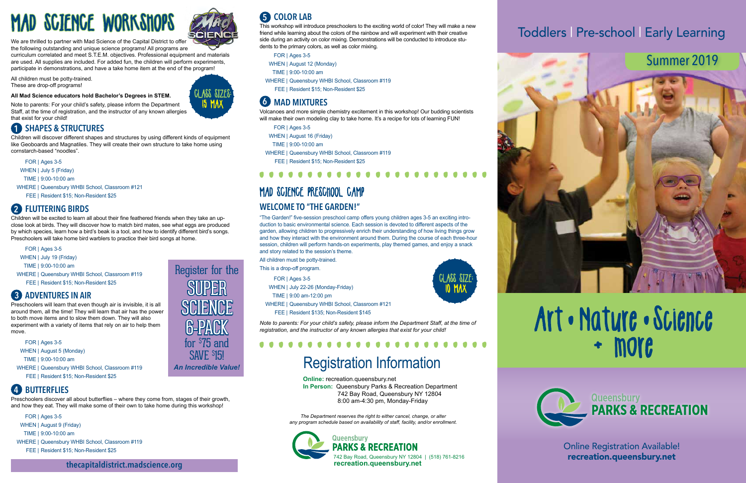# Summer 2019



# Art • Nature • Science



Online Registration Available!





ASS SIZE **IO MAX** 



# Toddlers | Pre-school | Early Learning

**Online:** recreation.queensbury.net **In Person:** Queensbury Parks & Recreation Department 742 Bay Road, Queensbury NY 12804 8:00 am-4:30 pm, Monday-Friday

*The Department reserves the right to either cancel, change, or alter any program schedule based on availability of staff, facility, and/or enrollment.*

# Registration Information

Preschoolers discover all about butterflies – where they come from, stages of their growth, and how they eat. They will make some of their own to take home during this workshop!

Volcanoes and more simple chemistry excitement in this workshop! Our budding scientists will make their own modeling clay to take home. It's a recipe for lots of learning FUN!

 $\bullet$ 

- FOR | Ages 3-5
- WHEN | August 9 (Friday)
- TIME | 9:00-10:00 am
- WHERE | Queensbury WHBI School, Classroom #119
- FEE | Resident \$15; Non-Resident \$25

# MAD SCIENCE PRESCHOOL CAMP **WELCOME TO "THE GARDEN!"**

This workshop will introduce preschoolers to the exciting world of color! They will make a new friend while learning about the colors of the rainbow and will experiment with their creative side during an activity on color mixing. Demonstrations will be conducted to introduce students to the primary colors, as well as color mixing.

FOR | Ages 3-5

- WHEN | August 12 (Monday)
- TIME | 9:00-10:00 am
- WHERE | Queensbury WHBI School, Classroom #119
- FEE | Resident \$15; Non-Resident \$25

### **6** MAD MIXTURES

- FOR | Ages 3-5
- WHEN | August 16 (Friday)
- TIME | 9:00-10:00 am
- WHERE | Queensbury WHBI School, Classroom #119

FEE | Resident \$15; Non-Resident \$25

"The Garden!" five-session preschool camp offers young children ages 3-5 an exciting introduction to basic environmental science. Each session is devoted to different aspects of the garden, allowing children to progressively enrich their understanding of how living things grow and how they interact with the environment around them. During the course of each three-hour session, children will perform hands-on experiments, play themed games, and enjoy a snack and story related to the session's theme.

All children must be potty-trained.

This is a drop-off program.

- WHEN | July 19 (Friday)
- TIME | 9:00-10:00 am
- WHERE | Queensbury WHBI School, Classroom #119
	- FEE | Resident \$15; Non-Resident \$25
- FOR | Ages 3-5
- WHEN | July 22-26 (Monday-Friday)
- TIME | 9:00 am-12:00 pm
- WHERE | Queensbury WHBI School, Classroom #121
- FEE | Resident \$135; Non-Resident \$145

*Note to parents: For your child's safety, please inform the Department Staff, at the time of registration, and the instructor of any known allergies that exist for your child!* 

. . . . . . . .

# **BUTTERFLIES 4**

Preschoolers will learn that even though air is invisible, it is all around them, all the time! They will learn that air has the power to both move items and to slow them down. They will also experiment with a variety of items that rely on air to help them move.

# **COLOR LAB 5**

- FOR | Ages 3-5
- WHEN | August 5 (Monday)
- TIME | 9:00-10:00 am
- WHERE | Queensbury WHBI School, Classroom #119 FEE | Resident \$15; Non-Resident \$25

# MAD SCIENCE WORKSHOPS



We are thrilled to partner with Mad Science of the Capital District to offer the following outstanding and unique science programs! All programs are

curriculum correlated and meet S.T.E.M. objectives. Professional equipment and materials are used. All supplies are included. For added fun, the children will perform experiments, participate in demonstrations, and have a take home item at the end of the program!

All children must be potty-trained. These are drop-off programs!

**All Mad Science educators hold Bachelor's Degrees in STEM.**



## **ADVENTURES IN AIR 3**

Note to parents: For your child's safety, please inform the Department Staff, at the time of registration, and the instructor of any known allergies that exist for your child!

Children will discover different shapes and structures by using different kinds of equipment like Geoboards and Magnatiles. They will create their own structure to take home using cornstarch-based "noodles".

- FOR | Ages 3-5
- WHEN | July 5 (Friday)
- TIME | 9:00-10:00 am
- WHERE | Queensbury WHBI School, Classroom #121
	- FEE | Resident \$15; Non-Resident \$25

# **SHAPES & STRUCTURES 1**

Children will be excited to learn all about their fine feathered friends when they take an upclose look at birds. They will discover how to match bird mates, see what eggs are produced by which species, learn how a bird's beak is a tool, and how to identify different bird's songs. Preschoolers will take home bird warblers to practice their bird songs at home.

## **FLUTTERING BIRDS 2**

FOR | Ages 3-5

Register for the

for \$ 75 and

SAVE \$ 15! *An Incredible Value!*

SUPER SUPER

SCIENCE SCIENCE

6-PACK 6-PACK